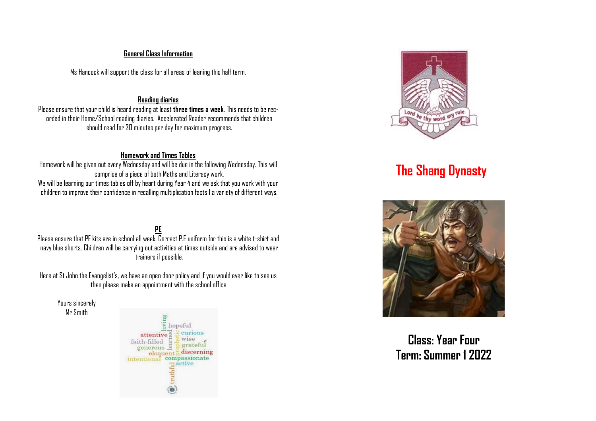### **General Class Information**

Ms Hancock will support the class for all areas of leaning this half term.

### **Reading diaries**

Please ensure that your child is heard reading at least **three times a week.** This needs to be recorded in their Home/School reading diaries. Accelerated Reader recommends that children should read for 30 minutes per day for maximum progress.

### **Homework and Times Tables**

Homework will be given out every Wednesday and will be due in the following Wednesday. This will comprise of a piece of both Maths and Literacy work. We will be learning our times tables off by heart during Year 4 and we ask that you work with your children to improve their confidence in recalling multiplication facts I a variety of different ways.

**PE**  $P$ lease ensure that PF kits are in school all week. Correct P.F uniform for this is a white t-shirt and navy blue shorts. Children will be carrying out activities at times outside and are advised to wear trainers if possible.

Here at St John the Evangelist's, we have an open door policy and if you would ever like to see us then please make an appointment with the school office.

Yours sincerely Mr Smith





# **The Shang Dynasty**



**Class: Year Four Term: Summer 1 2022**